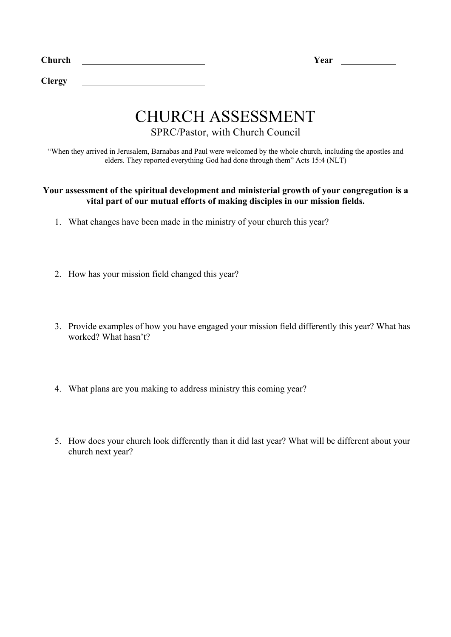| Church<br>$\sim$ |  | ear |
|------------------|--|-----|
|------------------|--|-----|

**Clergy** 

## CHURCH ASSESSMENT

SPRC/Pastor, with Church Council

"When they arrived in Jerusalem, Barnabas and Paul were welcomed by the whole church, including the apostles and elders. They reported everything God had done through them" Acts 15:4 (NLT)

## **Your assessment of the spiritual development and ministerial growth of your congregation is a vital part of our mutual efforts of making disciples in our mission fields.**

- 1. What changes have been made in the ministry of your church this year?
- 2. How has your mission field changed this year?
- 3. Provide examples of how you have engaged your mission field differently this year? What has worked? What hasn't?
- 4. What plans are you making to address ministry this coming year?
- 5. How does your church look differently than it did last year? What will be different about your church next year?